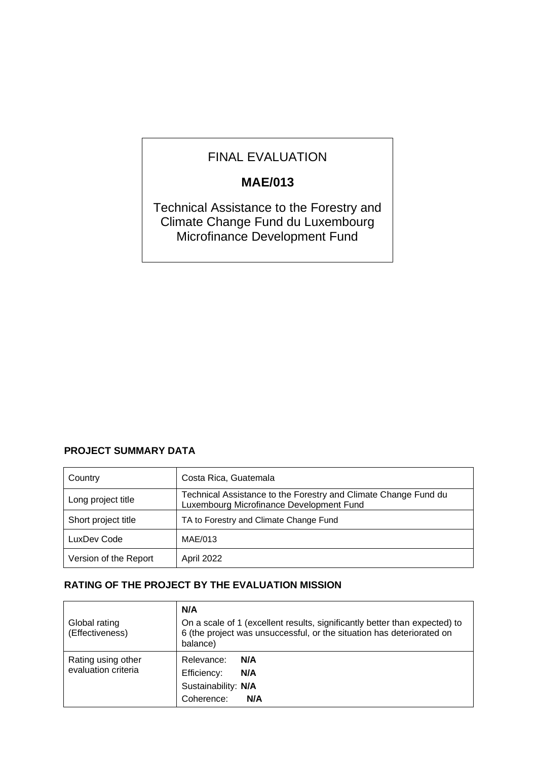# FINAL EVALUATION

## **MAE/013**

Technical Assistance to the Forestry and Climate Change Fund du Luxembourg Microfinance Development Fund

## **PROJECT SUMMARY DATA**

| Country               | Costa Rica, Guatemala                                                                                       |
|-----------------------|-------------------------------------------------------------------------------------------------------------|
| Long project title    | Technical Assistance to the Forestry and Climate Change Fund du<br>Luxembourg Microfinance Development Fund |
| Short project title   | TA to Forestry and Climate Change Fund                                                                      |
| LuxDev Code           | MAE/013                                                                                                     |
| Version of the Report | April 2022                                                                                                  |

### **RATING OF THE PROJECT BY THE EVALUATION MISSION**

| Global rating<br>(Effectiveness)          | N/A<br>On a scale of 1 (excellent results, significantly better than expected) to<br>6 (the project was unsuccessful, or the situation has deteriorated on<br>balance) |
|-------------------------------------------|------------------------------------------------------------------------------------------------------------------------------------------------------------------------|
| Rating using other<br>evaluation criteria | Relevance:<br>N/A<br>Efficiency:<br>N/A<br>Sustainability: N/A<br>Coherence:<br>N/A                                                                                    |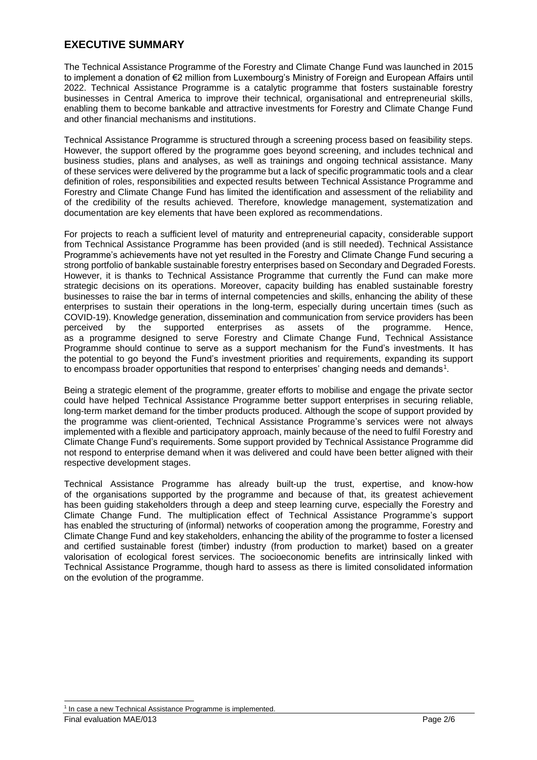### **EXECUTIVE SUMMARY**

The Technical Assistance Programme of the Forestry and Climate Change Fund was launched in 2015 to implement a donation of €2 million from Luxembourg's Ministry of Foreign and European Affairs until 2022. Technical Assistance Programme is a catalytic programme that fosters sustainable forestry businesses in Central America to improve their technical, organisational and entrepreneurial skills, enabling them to become bankable and attractive investments for Forestry and Climate Change Fund and other financial mechanisms and institutions.

Technical Assistance Programme is structured through a screening process based on feasibility steps. However, the support offered by the programme goes beyond screening, and includes technical and business studies, plans and analyses, as well as trainings and ongoing technical assistance. Many of these services were delivered by the programme but a lack of specific programmatic tools and a clear definition of roles, responsibilities and expected results between Technical Assistance Programme and Forestry and Climate Change Fund has limited the identification and assessment of the reliability and of the credibility of the results achieved. Therefore, knowledge management, systematization and documentation are key elements that have been explored as recommendations.

For projects to reach a sufficient level of maturity and entrepreneurial capacity, considerable support from Technical Assistance Programme has been provided (and is still needed). Technical Assistance Programme's achievements have not yet resulted in the Forestry and Climate Change Fund securing a strong portfolio of bankable sustainable forestry enterprises based on Secondary and Degraded Forests. However, it is thanks to Technical Assistance Programme that currently the Fund can make more strategic decisions on its operations. Moreover, capacity building has enabled sustainable forestry businesses to raise the bar in terms of internal competencies and skills, enhancing the ability of these enterprises to sustain their operations in the long-term, especially during uncertain times (such as COVID-19). Knowledge generation, dissemination and communication from service providers has been perceived by the supported enterprises as assets of the programme. Hence, as a programme designed to serve Forestry and Climate Change Fund, Technical Assistance Programme should continue to serve as a support mechanism for the Fund's investments. It has the potential to go beyond the Fund's investment priorities and requirements, expanding its support to encompass broader opportunities that respond to enterprises' changing needs and demands<sup>1</sup>.

Being a strategic element of the programme, greater efforts to mobilise and engage the private sector could have helped Technical Assistance Programme better support enterprises in securing reliable, long-term market demand for the timber products produced. Although the scope of support provided by the programme was client-oriented, Technical Assistance Programme's services were not always implemented with a flexible and participatory approach, mainly because of the need to fulfil Forestry and Climate Change Fund's requirements. Some support provided by Technical Assistance Programme did not respond to enterprise demand when it was delivered and could have been better aligned with their respective development stages.

Technical Assistance Programme has already built-up the trust, expertise, and know-how of the organisations supported by the programme and because of that, its greatest achievement has been guiding stakeholders through a deep and steep learning curve, especially the Forestry and Climate Change Fund. The multiplication effect of Technical Assistance Programme's support has enabled the structuring of (informal) networks of cooperation among the programme, Forestry and Climate Change Fund and key stakeholders, enhancing the ability of the programme to foster a licensed and certified sustainable forest (timber) industry (from production to market) based on a greater valorisation of ecological forest services. The socioeconomic benefits are intrinsically linked with Technical Assistance Programme, though hard to assess as there is limited consolidated information on the evolution of the programme.

<sup>&</sup>lt;sup>1</sup> In case a new Technical Assistance Programme is implemented.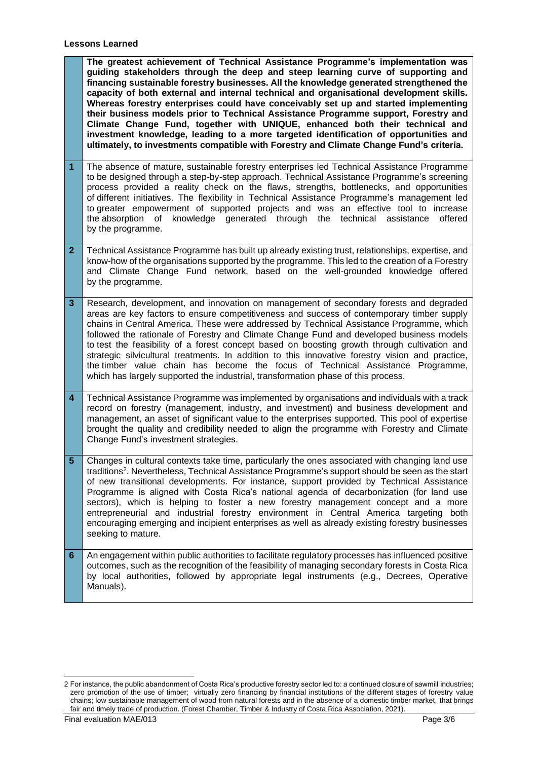**Lessons Learned**

**The greatest achievement of Technical Assistance Programme's implementation was guiding stakeholders through the deep and steep learning curve of supporting and financing sustainable forestry businesses. All the knowledge generated strengthened the capacity of both external and internal technical and organisational development skills. Whereas forestry enterprises could have conceivably set up and started implementing their business models prior to Technical Assistance Programme support, Forestry and Climate Change Fund, together with UNIQUE, enhanced both their technical and investment knowledge, leading to a more targeted identification of opportunities and ultimately, to investments compatible with Forestry and Climate Change Fund's criteria.** 

- **1** The absence of mature, sustainable forestry enterprises led Technical Assistance Programme to be designed through a step-by-step approach. Technical Assistance Programme's screening process provided a reality check on the flaws, strengths, bottlenecks, and opportunities of different initiatives. The flexibility in Technical Assistance Programme's management led to greater empowerment of supported projects and was an effective tool to increase the absorption of knowledge generated through the technical assistance offered by the programme.
- **2** Technical Assistance Programme has built up already existing trust, relationships, expertise, and know-how of the organisations supported by the programme. This led to the creation of a Forestry and Climate Change Fund network, based on the well-grounded knowledge offered by the programme.
- **3** Research, development, and innovation on management of secondary forests and degraded areas are key factors to ensure competitiveness and success of contemporary timber supply chains in Central America. These were addressed by Technical Assistance Programme, which followed the rationale of Forestry and Climate Change Fund and developed business models to test the feasibility of a forest concept based on boosting growth through cultivation and strategic silvicultural treatments. In addition to this innovative forestry vision and practice, the timber value chain has become the focus of Technical Assistance Programme, which has largely supported the industrial, transformation phase of this process.
- **4** Technical Assistance Programme was implemented by organisations and individuals with a track record on forestry (management, industry, and investment) and business development and management, an asset of significant value to the enterprises supported. This pool of expertise brought the quality and credibility needed to align the programme with Forestry and Climate Change Fund's investment strategies.
- **5** Changes in cultural contexts take time, particularly the ones associated with changing land use traditions<sup>2</sup>. Nevertheless, Technical Assistance Programme's support should be seen as the start of new transitional developments. For instance, support provided by Technical Assistance Programme is aligned with Costa Rica's national agenda of decarbonization (for land use sectors), which is helping to foster a new forestry management concept and a more entrepreneurial and industrial forestry environment in Central America targeting both encouraging emerging and incipient enterprises as well as already existing forestry businesses seeking to mature.
- **6** An engagement within public authorities to facilitate regulatory processes has influenced positive outcomes, such as the recognition of the feasibility of managing secondary forests in Costa Rica by local authorities, followed by appropriate legal instruments (e.g., Decrees, Operative Manuals).

<sup>2</sup> For instance, the public abandonment of Costa Rica's productive forestry sector led to: a continued closure of sawmill industries; zero promotion of the use of timber; virtually zero financing by financial institutions of the different stages of forestry value chains; low sustainable management of wood from natural forests and in the absence of a domestic timber market, that brings fair and timely trade of production. (Forest Chamber, Timber & Industry of Costa Rica Association, 2021).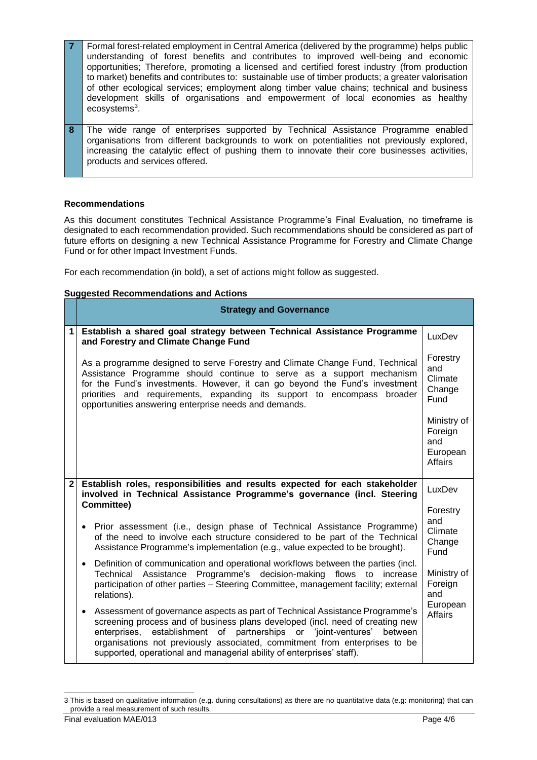- **7** Formal forest-related employment in Central America (delivered by the programme) helps public understanding of forest benefits and contributes to improved well-being and economic opportunities; Therefore, promoting a licensed and certified forest industry (from production to market) benefits and contributes to: sustainable use of timber products; a greater valorisation of other ecological services; employment along timber value chains; technical and business development skills of organisations and empowerment of local economies as healthy ecosystems<sup>3</sup>.
- **8** The wide range of enterprises supported by Technical Assistance Programme enabled organisations from different backgrounds to work on potentialities not previously explored, increasing the catalytic effect of pushing them to innovate their core businesses activities, products and services offered.

#### **Recommendations**

As this document constitutes Technical Assistance Programme's Final Evaluation, no timeframe is designated to each recommendation provided. Such recommendations should be considered as part of future efforts on designing a new Technical Assistance Programme for Forestry and Climate Change Fund or for other Impact Investment Funds.

For each recommendation (in bold), a set of actions might follow as suggested.

#### **Suggested Recommendations and Actions**

|   | <b>Strategy and Governance</b>                                                                                                                                                                                                                                                                                                                                                                 |                                                             |  |
|---|------------------------------------------------------------------------------------------------------------------------------------------------------------------------------------------------------------------------------------------------------------------------------------------------------------------------------------------------------------------------------------------------|-------------------------------------------------------------|--|
| 1 | Establish a shared goal strategy between Technical Assistance Programme<br>and Forestry and Climate Change Fund                                                                                                                                                                                                                                                                                | LuxDev                                                      |  |
|   | As a programme designed to serve Forestry and Climate Change Fund, Technical<br>Assistance Programme should continue to serve as a support mechanism<br>for the Fund's investments. However, it can go beyond the Fund's investment<br>priorities and requirements, expanding its support to encompass<br>broader<br>opportunities answering enterprise needs and demands.                     | Forestry<br>and<br>Climate<br>Change<br>Fund                |  |
|   |                                                                                                                                                                                                                                                                                                                                                                                                | Ministry of<br>Foreign<br>and<br>European<br><b>Affairs</b> |  |
|   | Establish roles, responsibilities and results expected for each stakeholder<br>$\mathbf{2}$<br>involved in Technical Assistance Programme's governance (incl. Steering                                                                                                                                                                                                                         |                                                             |  |
|   | <b>Committee)</b>                                                                                                                                                                                                                                                                                                                                                                              | Forestry                                                    |  |
|   | • Prior assessment (i.e., design phase of Technical Assistance Programme)<br>of the need to involve each structure considered to be part of the Technical<br>Assistance Programme's implementation (e.g., value expected to be brought).                                                                                                                                                       | and<br>Climate<br>Change<br>Fund                            |  |
|   | Definition of communication and operational workflows between the parties (incl.<br>$\bullet$<br>Assistance Programme's decision-making<br>Technical<br>flows to increase<br>participation of other parties - Steering Committee, management facility; external<br>relations).                                                                                                                 | Ministry of<br>Foreign<br>and<br>European<br>Affairs        |  |
|   | Assessment of governance aspects as part of Technical Assistance Programme's<br>screening process and of business plans developed (incl. need of creating new<br>enterprises, establishment of partnerships or 'joint-ventures' between<br>organisations not previously associated, commitment from enterprises to be<br>supported, operational and managerial ability of enterprises' staff). |                                                             |  |

<sup>3</sup> This is based on qualitative information (e.g. during consultations) as there are no quantitative data (e.g: monitoring) that can provide a real measurement of such results.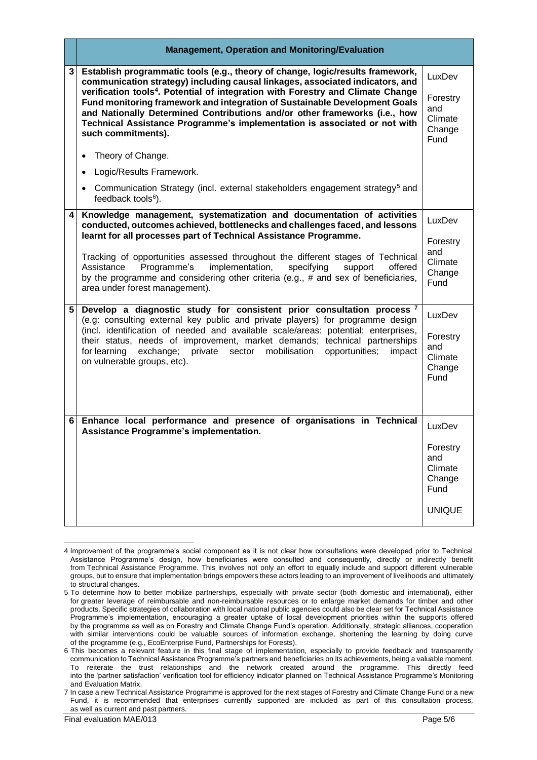|   | <b>Management, Operation and Monitoring/Evaluation</b>                                                                                                                                                                                                                                                                                                                                                                                                                                                                        |                                                                         |  |
|---|-------------------------------------------------------------------------------------------------------------------------------------------------------------------------------------------------------------------------------------------------------------------------------------------------------------------------------------------------------------------------------------------------------------------------------------------------------------------------------------------------------------------------------|-------------------------------------------------------------------------|--|
| 3 | Establish programmatic tools (e.g., theory of change, logic/results framework,<br>communication strategy) including causal linkages, associated indicators, and<br>verification tools <sup>4</sup> . Potential of integration with Forestry and Climate Change<br>Fund monitoring framework and integration of Sustainable Development Goals<br>and Nationally Determined Contributions and/or other frameworks (i.e., how<br>Technical Assistance Programme's implementation is associated or not with<br>such commitments). | LuxDev<br>Forestry<br>and<br>Climate<br>Change<br>Fund                  |  |
|   | Theory of Change.<br>$\bullet$                                                                                                                                                                                                                                                                                                                                                                                                                                                                                                |                                                                         |  |
|   | Logic/Results Framework.                                                                                                                                                                                                                                                                                                                                                                                                                                                                                                      |                                                                         |  |
|   | Communication Strategy (incl. external stakeholders engagement strategy <sup>5</sup> and<br>feedback tools <sup>6</sup> ).                                                                                                                                                                                                                                                                                                                                                                                                    |                                                                         |  |
| 4 | Knowledge management, systematization and documentation of activities<br>conducted, outcomes achieved, bottlenecks and challenges faced, and lessons<br>learnt for all processes part of Technical Assistance Programme.                                                                                                                                                                                                                                                                                                      | LuxDev                                                                  |  |
|   | Tracking of opportunities assessed throughout the different stages of Technical<br>Programme's<br>implementation,<br>Assistance<br>specifying<br>support<br>offered<br>by the programme and considering other criteria (e.g., $#$ and sex of beneficiaries,<br>area under forest management).                                                                                                                                                                                                                                 | Forestry<br>and<br>Climate<br>Change<br>Fund                            |  |
| 5 | Develop a diagnostic study for consistent prior consultation process <sup>7</sup><br>(e.g: consulting external key public and private players) for programme design<br>(incl. identification of needed and available scale/areas: potential: enterprises,<br>their status, needs of improvement, market demands; technical partnerships<br>for learning<br>exchange; private sector<br>mobilisation<br>opportunities;<br>impact<br>on vulnerable groups, etc).                                                                | LuxDev<br>Forestry<br>and<br>Climate<br>Change<br>Fund                  |  |
| 6 | Enhance local performance and presence of organisations in Technical<br>Assistance Programme's implementation.                                                                                                                                                                                                                                                                                                                                                                                                                | LuxDev<br>Forestry<br>and<br>Climate<br>Change<br>Fund<br><b>UNIQUE</b> |  |

<sup>4</sup> Improvement of the programme's social component as it is not clear how consultations were developed prior to Technical Assistance Programme's design, how beneficiaries were consulted and consequently, directly or indirectly benefit from Technical Assistance Programme. This involves not only an effort to equally include and support different vulnerable groups, but to ensure that implementation brings empowers these actors leading to an improvement of livelihoods and ultimately to structural changes.

<sup>5</sup> To determine how to better mobilize partnerships, especially with private sector (both domestic and international), either for greater leverage of reimbursable and non-reimbursable resources or to enlarge market demands for timber and other products. Specific strategies of collaboration with local national public agencies could also be clear set for Technical Assistance Programme's implementation, encouraging a greater uptake of local development priorities within the supports offered by the programme as well as on Forestry and Climate Change Fund's operation. Additionally, strategic alliances, cooperation with similar interventions could be valuable sources of information exchange, shortening the learning by doing curve of the programme (e.g., EcoEnterprise Fund, Partnerships for Forests).

<sup>6</sup> This becomes a relevant feature in this final stage of implementation, especially to provide feedback and transparently communication to Technical Assistance Programme's partners and beneficiaries on its achievements, being a valuable moment. To reiterate the trust relationships and the network created around the programme. This directly feed into the 'partner satisfaction' verification tool for efficiency indicator planned on Technical Assistance Programme's Monitoring and Evaluation Matrix.

<sup>7</sup> In case a new Technical Assistance Programme is approved for the next stages of Forestry and Climate Change Fund or a new Fund, it is recommended that enterprises currently supported are included as part of this consultation process, as well as current and past partners.